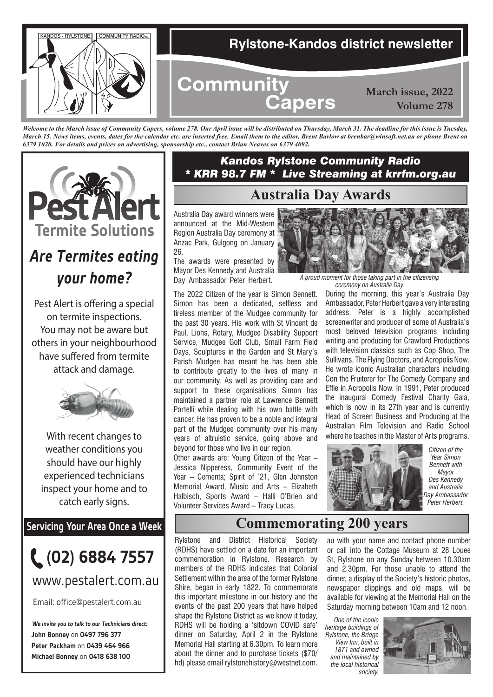

*Welcome to the March issue of Community Capers, volume 278. Our April issue will be distributed on Thursday, March 31. The deadline for this issue is Tuesday, March 15. News items, events, dates for the calendar etc. are inserted free. Email them to the editor, Brent Barlow at brenbar@winsoft.net.au or phone Brent on 6379 1020. For details and prices on advertising, sponsorship etc., contact Brian Neaves on 6379 4092.*



# *Are Termites eating your home?*

Pest Alert is offering a special on termite inspections. You may not be aware but others in your neighbourhood have suffered from termite attack and damage.



With recent changes to weather conditions you should have our highly experienced technicians inspect your home and to catch early signs.

**Servicing Your Area Once a Week**



www.pestalert.com.au

Email: office@pestalert.com.au

**John Bonney** on **0497 796 377 Peter Packham** on **0439 464 966 Michael Bonney** on **0418 638 100 We invite you to talk to our Technicians direct:**

#### *Kandos Rylstone Community Radio \* KRR 98.7 FM \* Live Streaming at krrfm.org.au*

### **Australia Day Awards**

Australia Day award winners were announced at the Mid-Western Region Australia Day ceremony at Anzac Park, Gulgong on January 26.

The awards were presented by Mayor Des Kennedy and Australia<br>Day Ambassador Peter Herbert.

The 2022 Citizen of the year is Simon Bennett. Simon has been a dedicated, selfless and tireless member of the Mudgee community for the past 30 years. His work with St Vincent de Paul, Lions, Rotary, Mudgee Disability Support Service, Mudgee Golf Club, Small Farm Field Days, Sculptures in the Garden and St Mary's Parish Mudgee has meant he has been able to contribute greatly to the lives of many in our community. As well as providing care and support to these organisations Simon has maintained a partner role at Lawrence Bennett Portelli while dealing with his own battle with cancer. He has proven to be a noble and integral part of the Mudgee community over his many years of altruistic service, going above and beyond for those who live in our region.

Other awards are: Young Citizen of the Year – Jessica Nipperess, Community Event of the Year – Cementa; Spirit of '21, Glen Johnston Memorial Award, Music and Arts – Elizabeth Halbisch, Sports Award – Halli O'Brien and Volunteer Services Award – Tracy Lucas.



A proud moment for those taking part in the citizenship *ceremony on Australia Day.*

During the morning, this year's Australia Day Ambassador, Peter Herbert gave a very interesting address. Peter is a highly accomplished screenwriter and producer of some of Australia's most beloved television programs including writing and producing for Crawford Productions with television classics such as Cop Shop, The Sullivans, The Flying Doctors, and Acropolis Now. He wrote iconic Australian characters including Con the Fruiterer for The Comedy Company and Effie in Acropolis Now. In 1991, Peter produced the inaugural Comedy Festival Charity Gala, which is now in its 27th year and is currently Head of Screen Business and Producing at the Australian Film Television and Radio School where he teaches in the Master of Arts programs.



*Citizen of the Year Simon Bennett with Mayor Des Kennedy and Australia Day Ambassador Peter Herbert.*

## **Commemorating 200 years**

Rylstone and District Historical Society (RDHS) have settled on a date for an important commemoration in Rylstone. Research by members of the RDHS indicates that Colonial Settlement within the area of the former Rylstone Shire, began in early 1822. To commemorate this important milestone in our history and the events of the past 200 years that have helped shape the Rylstone District as we know it today, RDHS will be holding a 'sitdown COVID safe' dinner on Saturday, April 2 in the Rylstone Memorial Hall starting at 6.30pm. To learn more about the dinner and to purchase tickets (\$70/ hd) please email rylstonehistory@westnet.com.

au with your name and contact phone number or call into the Cottage Museum at 28 Louee St, Rylstone on any Sunday between 10.30am and 2.30pm. For those unable to attend the dinner, a display of the Society's historic photos, newspaper clippings and old maps, will be available for viewing at the Memorial Hall on the Saturday morning between 10am and 12 noon.

*One of the iconic heritage buildings of Rylstone, the Bridge View Inn, built in 1871 and owned and maintained by the local historical society.*

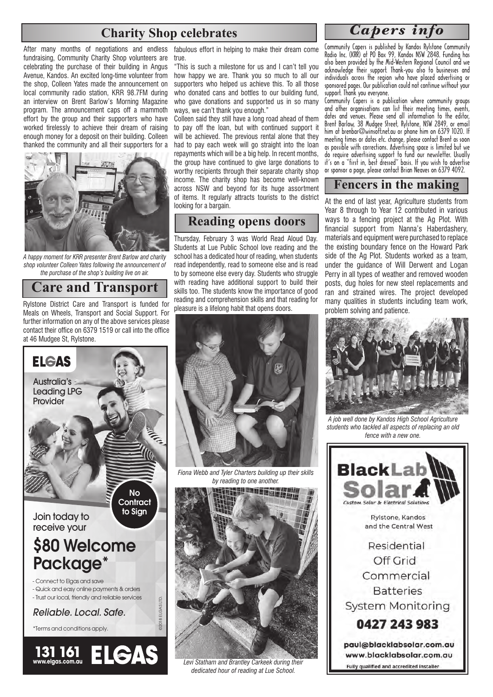### **Charity Shop celebrates**

fundraising, Community Charity Shop volunteers are celebrating the purchase of their building in Angus Avenue, Kandos. An excited long-time volunteer from the shop, Colleen Yates made the announcement on local community radio station, KRR 98.7FM during an interview on Brent Barlow's Morning Magazine program. The announcement caps off a mammoth effort by the group and their supporters who have worked tirelessly to achieve their dream of raising enough money for a deposit on their building. Colleen thanked the community and all their supporters for a



*A happy moment for KRR presenter Brent Barlow and charity shop volunteer Colleen Yates following the announcement of the purchase of the shop's building live on air.* 

**Care and Transport**

Rylstone District Care and Transport is funded for Meals on Wheels, Transport and Social Support. For further information on any of the above services please contact their office on 6379 1519 or call into the office at 46 Mudgee St, Rylstone.



After many months of negotiations and endless fabulous effort in helping to make their dream come true.

> "This is such a milestone for us and I can't tell you how happy we are. Thank you so much to all our supporters who helped us achieve this. To all those who donated cans and bottles to our building fund, who gave donations and supported us in so many ways, we can't thank you enough."

> Colleen said they still have a long road ahead of them to pay off the loan, but with continued support it will be achieved. The previous rental alone that they had to pay each week will go straight into the loan repayments which will be a big help. In recent months, the group have continued to give large donations to worthy recipients through their separate charity shop income. The charity shop has become well-known across NSW and beyond for its huge assortment of items. It regularly attracts tourists to the district looking for a bargain.

#### **Reading opens doors**

Thursday, February 3 was World Read Aloud Day. Students at Lue Public School love reading and the school has a dedicated hour of reading, when students read independently, read to someone else and is read to by someone else every day. Students who struggle with reading have additional support to build their skills too. The students know the importance of good reading and comprehension skills and that reading for pleasure is a lifelong habit that opens doors.



*Fiona Webb and Tyler Charters building up their skills* 



*Levi Statham and Brantley Carkeek during their dedicated hour of reading at Lue School.*

### *Capers info*

Community Capers is published by Kandos Rylstone Community Radio Inc. (KRR) at PO Box 99, Kandos NSW 2848. Funding has also been provided by the Mid-Western Regional Council and we acknowledge their support. Thank-you also to businesses and individuals across the region who have placed advertising or sponsored pages. Our publication could not continue without your support. Thank you everyone.

Community Capers is a publication where community groups and other organisations can list their meeting times, events, dates and venues. Please send all information to the editor, Brent Barlow, 38 Mudgee Street, Rylstone, NSW 2849, or email him at brenbar@winsoft.net.au or phone him on 6379 1020. If meeting times or dates etc. change, please contact Brent as soon as possible with corrections. Advertising space is limited but we do require advertising support to fund our newsletter. Usually it's on a "first in, best dressed" basis. If you wish to advertise or sponsor a page, please contact Brian Neaves on 6379 4092.

#### **Fencers in the making**

At the end of last year, Agriculture students from Year 8 through to Year 12 contributed in various ways to a fencing project at the Ag Plot. With financial support from Nanna's Haberdashery, materials and equipment were purchased to replace the existing boundary fence on the Howard Park side of the Ag Plot. Students worked as a team, under the guidance of Will Derwent and Logan Perry in all types of weather and removed wooden posts, dug holes for new steel replacements and ran and strained wires. The project developed many qualities in students including team work, problem solving and patience.



*A job well done by Kandos High School Agriculture students who tackled all aspects of replacing an old fence with a new one.*

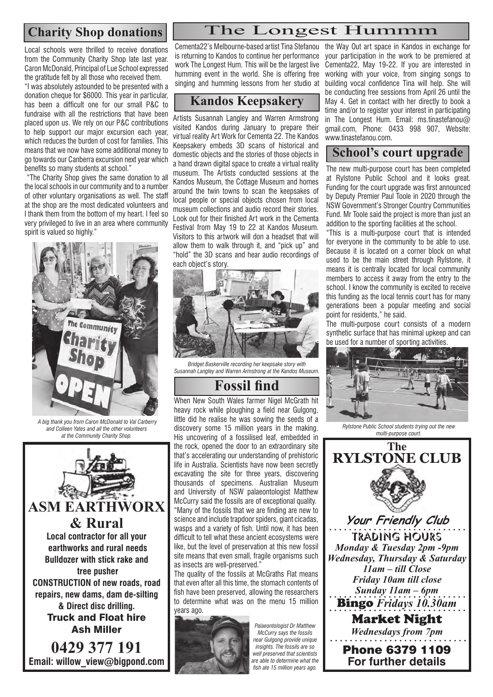**Charity Shop donations**

Local schools were thrilled to receive donations from the Community Charity Shop late last year. Caron McDonald, Principal of Lue School expressed the gratitude felt by all those who received them.

"I was absolutely astounded to be presented with a donation cheque for \$6000. This year in particular, has been a difficult one for our small P&C to fundraise with all the restrictions that have been placed upon us. We rely on our P&C contributions to help support our major excursion each year, which reduces the burden of cost for families. This means that we now have some additional money to go towards our Canberra excursion next year which benefits so many students at school."

 "The Charity Shop gives the same donation to all the local schools in our community and to a number of other voluntary organisations as well. The staff at the shop are the most dedicated volunteers and I thank them from the bottom of my heart. I feel so very privileged to live in an area where community spirit is valued so highly."



 *A big thank you from Caron McDonald to Val Carberry and Colleen Yates and all the other volunteers at the Community Charity Shop.*



**0429 377 191 Email: willow\_view@bigpond.com** Cementa22's Melbourne-based artist Tina Stefanou is returning to Kandos to continue her performance work The Longest Hum. This will be the largest live humming event in the world. She is offering free singing and humming lessons from her studio at

#### **Kandos Keepsakery**

Artists Susannah Langley and Warren Armstrong visited Kandos during January to prepare their virtual reality Art Work for Cementa 22. The Kandos Keepsakery embeds 3D scans of historical and domestic objects and the stories of those objects in a hand drawn digital space to create a virtual reality museum. The Artists conducted sessions at the Kandos Museum, the Cottage Museum and homes around the twin towns to scan the keepsakes of local people or special objects chosen from local museum collections and audio record their stories. Look out for their finished Art work in the Cementa Festival from May 19 to 22 at Kandos Museum. Visitors to this artwork will don a headset that will allow them to walk through it, and "pick up" and "hold" the 3D scans and hear audio recordings of each object's story.



*Bridget Baskerville recording her keepsake story with Susannah Langley and Warren Armstrong at the Kandos Museum.*

## **Fossil find**

When New South Wales farmer Nigel McGrath hit heavy rock while ploughing a field near Gulgong, little did he realise he was sowing the seeds of a discovery some 15 million years in the making. His uncovering of a fossilised leaf, embedded in the rock, opened the door to an extraordinary site that's accelerating our understanding of prehistoric life in Australia. Scientists have now been secretly excavating the site for three years, discovering thousands of specimens. Australian Museum and University of NSW palaeontologist Matthew McCurry said the fossils are of exceptional quality. "Many of the fossils that we are finding are new to science and include trapdoor spiders, giant cicadas, wasps and a variety of fish. Until now, it has been difficult to tell what these ancient ecosystems were like, but the level of preservation at this new fossil site means that even small, fragile organisms such as insects are well-preserved."

The quality of the fossils at McGraths Flat means that even after all this time, the stomach contents of fish have been preserved, allowing the researchers to determine what was on the menu 15 million years ago.



*Palaeontologist Dr Matthew McCurry says the fossils near Gulgong provide unique insights. The fossils are so well preserved that scientists are able to determine what the fish ate 15 million years ago.*

the Way Out art space in Kandos in exchange for your participation in the work to be premiered at Cementa22, May 19-22. If you are interested in working with your voice, from singing songs to building vocal confidence Tina will help. She will be conducting free sessions from April 26 until the May 4. Get in contact with her directly to book a time and/or to register your interest in participating in The Longest Hum. Email: ms.tinastefanou@ gmail.com, Phone: 0433 998 907, Website: www.tinastefanou.com.

#### **School's court upgrade**

The new multi-purpose court has been completed at Rylstone Public School and it looks great. Funding for the court upgrade was first announced by Deputy Premier Paul Toole in 2020 through the NSW Government's Stronger Country Communities Fund. Mr Toole said the project is more than just an addition to the sporting facilities at the school.

"This is a multi-purpose court that is intended for everyone in the community to be able to use. Because it is located on a corner block on what used to be the main street through Rylstone, it means it is centrally located for local community members to access it away from the entry to the school. I know the community is excited to receive this funding as the local tennis court has for many generations been a popular meeting and social point for residents," he said.

The multi-purpose court consists of a modern synthetic surface that has minimal upkeep and can be used for a number of sporting activities.



*Rylstone Public School students trying out the new multi-purpose court.*



#### The Longest Hummm